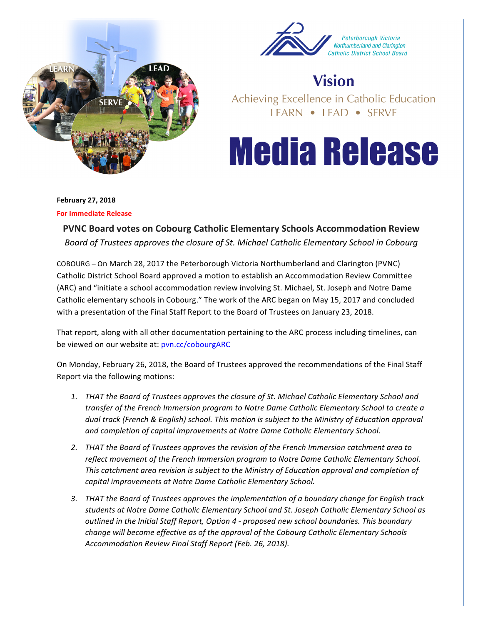



## **Vision**

Achieving Excellence in Catholic Education LEARN • LEAD • SERVE

## **Media Release**

**February 27, 2018** 

**For Immediate Release** 

**PVNC Board votes on Cobourg Catholic Elementary Schools Accommodation Review** Board of Trustees approves the closure of St. Michael Catholic Elementary School in Cobourg

COBOURG – On March 28, 2017 the Peterborough Victoria Northumberland and Clarington (PVNC) Catholic District School Board approved a motion to establish an Accommodation Review Committee (ARC) and "initiate a school accommodation review involving St. Michael, St. Joseph and Notre Dame Catholic elementary schools in Cobourg." The work of the ARC began on May 15, 2017 and concluded with a presentation of the Final Staff Report to the Board of Trustees on January 23, 2018.

That report, along with all other documentation pertaining to the ARC process including timelines, can be viewed on our website at: pvn.cc/cobourgARC

On Monday, February 26, 2018, the Board of Trustees approved the recommendations of the Final Staff Report via the following motions:

- 1. THAT the Board of Trustees approves the closure of St. Michael Catholic Elementary School and transfer of the French Immersion program to Notre Dame Catholic Elementary School to create a *dual* track (French & English) school. This motion is subject to the Ministry of Education approval and completion of capital improvements at Notre Dame Catholic Elementary School.
- 2. THAT the Board of Trustees approves the revision of the French Immersion catchment area to reflect movement of the French Immersion program to Notre Dame Catholic Elementary School. This catchment area revision is subject to the Ministry of Education approval and completion of *capital improvements at Notre Dame Catholic Elementary School.*
- 3. THAT the Board of Trustees approves the *implementation* of a boundary change for English track students at Notre Dame Catholic Elementary School and St. Joseph Catholic Elementary School as *outlined in the Initial Staff Report, Option 4 - proposed new school boundaries. This boundary change will become effective as of the approval of the Cobourg Catholic Elementary Schools Accommodation Review Final Staff Report (Feb. 26, 2018).*